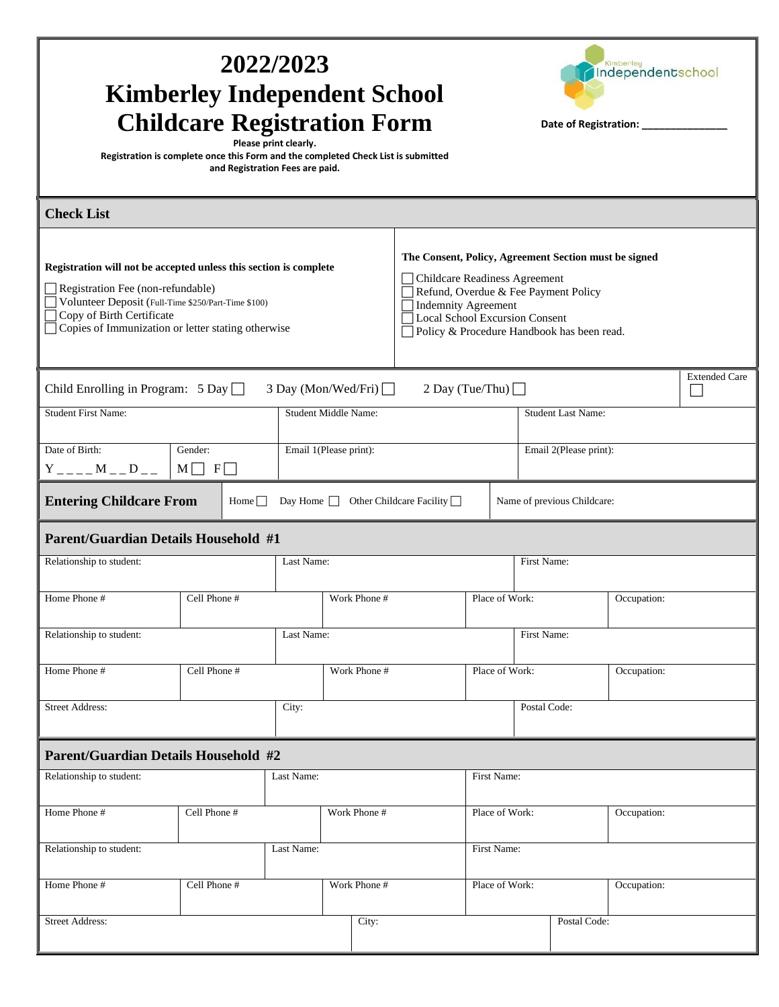| 2022/2023<br>Kimberley<br>Independentschool<br><b>Kimberley Independent School</b><br><b>Childcare Registration Form</b><br>Date of Registration: __________<br>Please print clearly.<br>Registration is complete once this Form and the completed Check List is submitted<br>and Registration Fees are paid. |                                                                                                                                                                                                                                              |              |             |                           |              |             |  |
|---------------------------------------------------------------------------------------------------------------------------------------------------------------------------------------------------------------------------------------------------------------------------------------------------------------|----------------------------------------------------------------------------------------------------------------------------------------------------------------------------------------------------------------------------------------------|--------------|-------------|---------------------------|--------------|-------------|--|
| <b>Check List</b>                                                                                                                                                                                                                                                                                             |                                                                                                                                                                                                                                              |              |             |                           |              |             |  |
| Registration will not be accepted unless this section is complete<br>Registration Fee (non-refundable)<br>Volunteer Deposit (Full-Time \$250/Part-Time \$100)<br>Copy of Birth Certificate<br>Copies of Immunization or letter stating otherwise                                                              | The Consent, Policy, Agreement Section must be signed<br>Childcare Readiness Agreement<br>Refund, Overdue & Fee Payment Policy<br><b>Indemnity Agreement</b><br>Local School Excursion Consent<br>Policy & Procedure Handbook has been read. |              |             |                           |              |             |  |
| <b>Extended Care</b><br>Child Enrolling in Program: $5$ Day $\Box$<br>3 Day (Mon/Wed/Fri) □<br>2 Day (Tue/Thu) $\Box$                                                                                                                                                                                         |                                                                                                                                                                                                                                              |              |             |                           |              |             |  |
| <b>Student First Name:</b><br>Student Middle Name:                                                                                                                                                                                                                                                            |                                                                                                                                                                                                                                              |              |             | <b>Student Last Name:</b> |              |             |  |
| Date of Birth:<br>$Y_{---}M_{---}D_{---}$                                                                                                                                                                                                                                                                     | Gender:<br>Email 1(Please print):<br>$M \Box F \Box$                                                                                                                                                                                         |              |             | Email 2(Please print):    |              |             |  |
| <b>Entering Childcare From</b><br>Day Home $\Box$ Other Childcare Facility $\Box$<br>Name of previous Childcare:<br>Home $\Box$                                                                                                                                                                               |                                                                                                                                                                                                                                              |              |             |                           |              |             |  |
| <b>Parent/Guardian Details Household #1</b><br>Relationship to student:                                                                                                                                                                                                                                       |                                                                                                                                                                                                                                              | Last Name:   |             |                           | First Name:  |             |  |
|                                                                                                                                                                                                                                                                                                               |                                                                                                                                                                                                                                              |              |             |                           |              |             |  |
| Home Phone #                                                                                                                                                                                                                                                                                                  | Cell Phone #                                                                                                                                                                                                                                 | Work Phone # |             | Place of Work:            |              | Occupation: |  |
| Relationship to student:                                                                                                                                                                                                                                                                                      | Last Name:                                                                                                                                                                                                                                   |              |             | First Name:               |              |             |  |
| Home Phone #                                                                                                                                                                                                                                                                                                  | Cell Phone #                                                                                                                                                                                                                                 | Work Phone # |             | Place of Work:            |              | Occupation: |  |
| <b>Street Address:</b><br>City:                                                                                                                                                                                                                                                                               |                                                                                                                                                                                                                                              |              |             | Postal Code:              |              |             |  |
| <b>Parent/Guardian Details Household #2</b>                                                                                                                                                                                                                                                                   |                                                                                                                                                                                                                                              |              |             |                           |              |             |  |
| Relationship to student:                                                                                                                                                                                                                                                                                      |                                                                                                                                                                                                                                              | Last Name:   |             | First Name:               |              |             |  |
| Home Phone #                                                                                                                                                                                                                                                                                                  | Cell Phone #<br>Work Phone #                                                                                                                                                                                                                 |              |             | Place of Work:            |              | Occupation: |  |
| Relationship to student:<br>Last Name:                                                                                                                                                                                                                                                                        |                                                                                                                                                                                                                                              |              | First Name: |                           |              |             |  |
| Home Phone #                                                                                                                                                                                                                                                                                                  | Cell Phone #                                                                                                                                                                                                                                 | Work Phone # |             | Place of Work:            |              | Occupation: |  |
| <b>Street Address:</b>                                                                                                                                                                                                                                                                                        |                                                                                                                                                                                                                                              | City:        |             |                           | Postal Code: |             |  |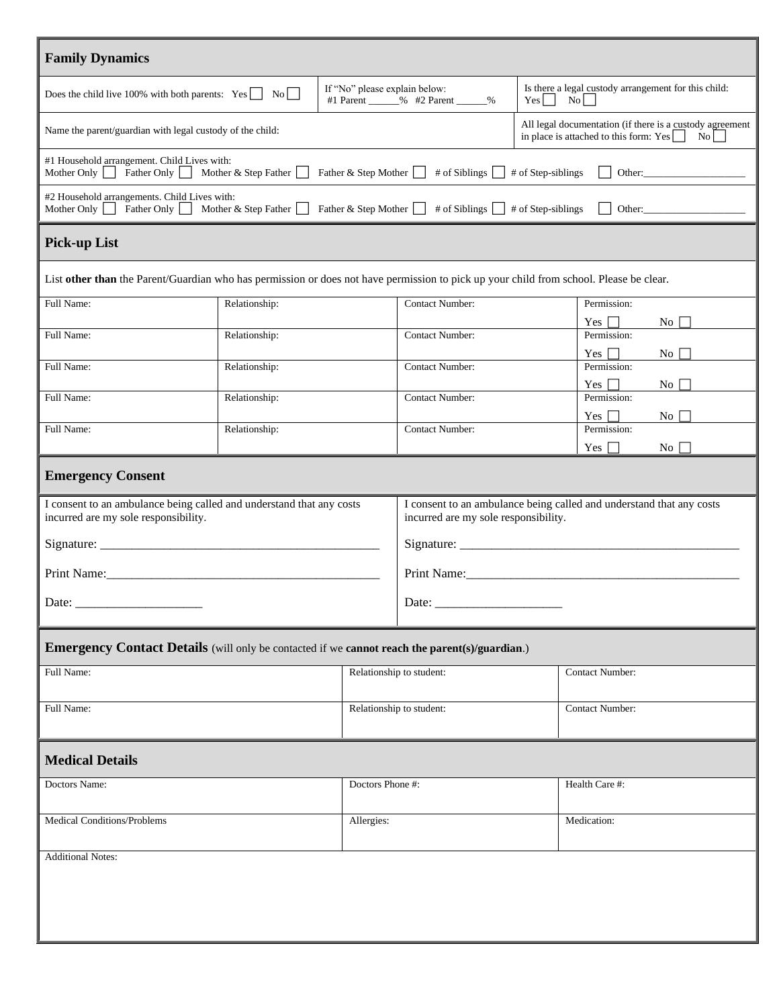| <b>Family Dynamics</b>                                                                                                                                                                                                       |               |                                                                     |                                                                                                                                    |                                                                                   |                                                       |  |
|------------------------------------------------------------------------------------------------------------------------------------------------------------------------------------------------------------------------------|---------------|---------------------------------------------------------------------|------------------------------------------------------------------------------------------------------------------------------------|-----------------------------------------------------------------------------------|-------------------------------------------------------|--|
| Does the child live 100% with both parents: $Yes \t No$                                                                                                                                                                      |               | If "No" please explain below:<br>#1 Parent ______% #2 Parent _____% |                                                                                                                                    | Is there a legal custody arrangement for this child:<br>$\overline{N_0}$<br>$Yes$ |                                                       |  |
| Name the parent/guardian with legal custody of the child:                                                                                                                                                                    |               |                                                                     | All legal documentation (if there is a custody agreement<br>in place is attached to this form: $Yes$<br>$\vert$ No $\vert$ $\vert$ |                                                                                   |                                                       |  |
| #1 Household arrangement. Child Lives with:<br>Father Only Mother & Step Father<br>Mother Only $\vert \vert$<br>Father & Step Mother $\Box$ # of Siblings $\Box$ # of Step-siblings                                          |               |                                                                     |                                                                                                                                    |                                                                                   |                                                       |  |
| #2 Household arrangements. Child Lives with:<br>Father Only Mother & Step Father<br>Mother Only $\vert \vert$<br>Father & Step Mother $\Box$ # of Siblings $\Box$ # of Step-siblings                                         |               |                                                                     |                                                                                                                                    |                                                                                   |                                                       |  |
| <b>Pick-up List</b>                                                                                                                                                                                                          |               |                                                                     |                                                                                                                                    |                                                                                   |                                                       |  |
| List other than the Parent/Guardian who has permission or does not have permission to pick up your child from school. Please be clear.                                                                                       |               |                                                                     |                                                                                                                                    |                                                                                   |                                                       |  |
| Full Name:                                                                                                                                                                                                                   | Relationship: |                                                                     | <b>Contact Number:</b>                                                                                                             |                                                                                   | Permission:<br>Yes $\Box$<br>No <sub>1</sub>          |  |
| Full Name:                                                                                                                                                                                                                   | Relationship: |                                                                     | <b>Contact Number:</b>                                                                                                             |                                                                                   | Permission:                                           |  |
| Full Name:                                                                                                                                                                                                                   | Relationship: |                                                                     | <b>Contact Number:</b>                                                                                                             |                                                                                   | Yes $\Box$<br>$\overline{N_{O}}$<br>Permission:       |  |
| Full Name:                                                                                                                                                                                                                   | Relationship: |                                                                     | <b>Contact Number:</b>                                                                                                             |                                                                                   | $Yes \mid \cdot$<br>$\overline{N_{0}}$<br>Permission: |  |
| Full Name:                                                                                                                                                                                                                   | Relationship: |                                                                     | <b>Contact Number:</b>                                                                                                             |                                                                                   | Yes $\Box$<br>No.<br>Permission:                      |  |
|                                                                                                                                                                                                                              |               |                                                                     |                                                                                                                                    |                                                                                   | Yes $\Box$<br>$\overline{N_{0}}$                      |  |
| <b>Emergency Consent</b>                                                                                                                                                                                                     |               |                                                                     |                                                                                                                                    |                                                                                   |                                                       |  |
| I consent to an ambulance being called and understand that any costs<br>I consent to an ambulance being called and understand that any costs<br>incurred are my sole responsibility.<br>incurred are my sole responsibility. |               |                                                                     |                                                                                                                                    |                                                                                   |                                                       |  |
|                                                                                                                                                                                                                              |               |                                                                     |                                                                                                                                    |                                                                                   |                                                       |  |
|                                                                                                                                                                                                                              |               |                                                                     |                                                                                                                                    |                                                                                   |                                                       |  |
| Date:                                                                                                                                                                                                                        |               |                                                                     | Date: $\_\_$                                                                                                                       |                                                                                   |                                                       |  |
| <b>Emergency Contact Details</b> (will only be contacted if we <b>cannot reach the parent</b> (s)/guardian.)                                                                                                                 |               |                                                                     |                                                                                                                                    |                                                                                   |                                                       |  |
| Full Name:<br>Relationship to student:<br>Contact Number:                                                                                                                                                                    |               |                                                                     |                                                                                                                                    |                                                                                   |                                                       |  |
| Full Name:                                                                                                                                                                                                                   |               | Relationship to student:                                            |                                                                                                                                    | <b>Contact Number:</b>                                                            |                                                       |  |
|                                                                                                                                                                                                                              |               |                                                                     |                                                                                                                                    |                                                                                   |                                                       |  |
| <b>Medical Details</b>                                                                                                                                                                                                       |               |                                                                     |                                                                                                                                    |                                                                                   |                                                       |  |
| Doctors Name:                                                                                                                                                                                                                |               |                                                                     | Doctors Phone #:                                                                                                                   |                                                                                   | Health Care #:                                        |  |
| Medical Conditions/Problems                                                                                                                                                                                                  |               |                                                                     | Allergies:                                                                                                                         |                                                                                   | Medication:                                           |  |
| <b>Additional Notes:</b>                                                                                                                                                                                                     |               |                                                                     |                                                                                                                                    |                                                                                   |                                                       |  |
|                                                                                                                                                                                                                              |               |                                                                     |                                                                                                                                    |                                                                                   |                                                       |  |
|                                                                                                                                                                                                                              |               |                                                                     |                                                                                                                                    |                                                                                   |                                                       |  |
|                                                                                                                                                                                                                              |               |                                                                     |                                                                                                                                    |                                                                                   |                                                       |  |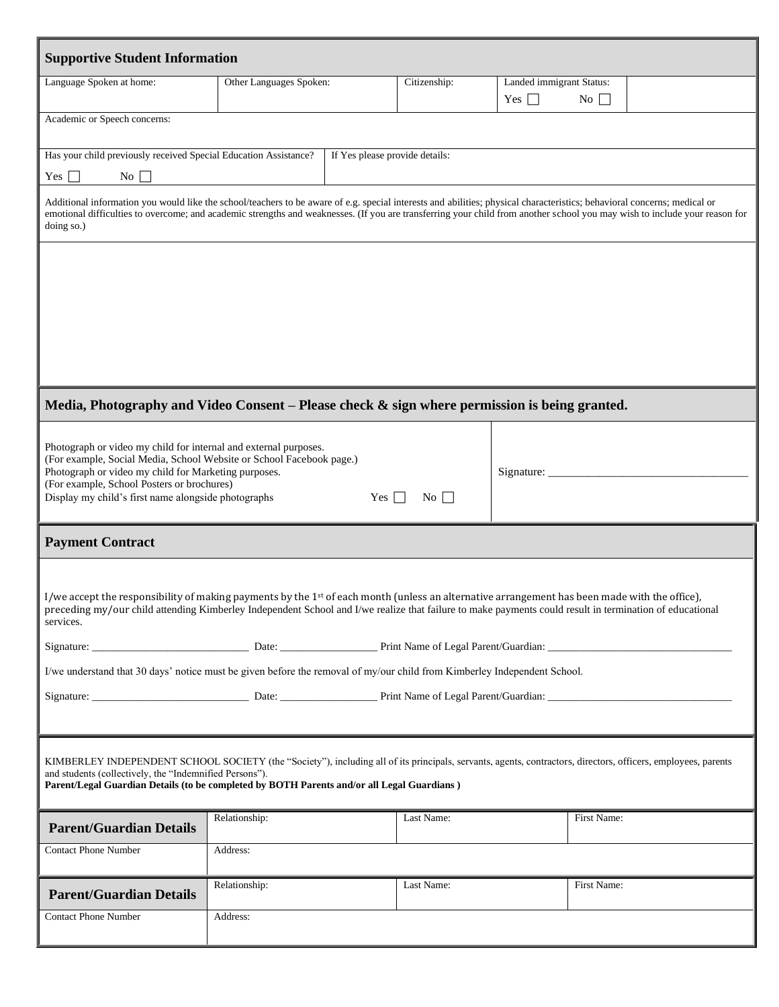| <b>Supportive Student Information</b>                                                                                                                                                                                                                                                                                                                                                                                                                         |                         |  |              |                                                            |             |  |
|---------------------------------------------------------------------------------------------------------------------------------------------------------------------------------------------------------------------------------------------------------------------------------------------------------------------------------------------------------------------------------------------------------------------------------------------------------------|-------------------------|--|--------------|------------------------------------------------------------|-------------|--|
| Language Spoken at home:                                                                                                                                                                                                                                                                                                                                                                                                                                      | Other Languages Spoken: |  | Citizenship: | Landed immigrant Status:<br>Yes $\Box$<br>$\overline{N_0}$ |             |  |
| Academic or Speech concerns:                                                                                                                                                                                                                                                                                                                                                                                                                                  |                         |  |              |                                                            |             |  |
| Has your child previously received Special Education Assistance?<br>If Yes please provide details:<br>Yes $\Box$<br>No $\Box$                                                                                                                                                                                                                                                                                                                                 |                         |  |              |                                                            |             |  |
| Additional information you would like the school/teachers to be aware of e.g. special interests and abilities; physical characteristics; behavioral concerns; medical or<br>emotional difficulties to overcome; and academic strengths and weaknesses. (If you are transferring your child from another school you may wish to include your reason for<br>doing so.)                                                                                          |                         |  |              |                                                            |             |  |
|                                                                                                                                                                                                                                                                                                                                                                                                                                                               |                         |  |              |                                                            |             |  |
| Media, Photography and Video Consent – Please check $\&$ sign where permission is being granted.                                                                                                                                                                                                                                                                                                                                                              |                         |  |              |                                                            |             |  |
| Photograph or video my child for internal and external purposes.<br>(For example, Social Media, School Website or School Facebook page.)<br>Photograph or video my child for Marketing purposes.<br>(For example, School Posters or brochures)<br>Display my child's first name alongside photographs<br>Yes $\Box$<br>$\overline{N_0}$                                                                                                                       |                         |  |              | Signature:                                                 |             |  |
| <b>Payment Contract</b>                                                                                                                                                                                                                                                                                                                                                                                                                                       |                         |  |              |                                                            |             |  |
| I/we accept the responsibility of making payments by the 1 <sup>st</sup> of each month (unless an alternative arrangement has been made with the office),<br>preceding my/our child attending Kimberley Independent School and I/we realize that failure to make payments could result in termination of educational<br>services.<br>I/we understand that 30 days' notice must be given before the removal of my/our child from Kimberley Independent School. |                         |  |              |                                                            |             |  |
| KIMBERLEY INDEPENDENT SCHOOL SOCIETY (the "Society"), including all of its principals, servants, agents, contractors, directors, officers, employees, parents<br>and students (collectively, the "Indemnified Persons").<br>Parent/Legal Guardian Details (to be completed by BOTH Parents and/or all Legal Guardians)                                                                                                                                        |                         |  |              |                                                            |             |  |
| <b>Parent/Guardian Details</b>                                                                                                                                                                                                                                                                                                                                                                                                                                | Relationship:           |  | Last Name:   |                                                            | First Name: |  |
| <b>Contact Phone Number</b>                                                                                                                                                                                                                                                                                                                                                                                                                                   | Address:                |  |              |                                                            |             |  |
| <b>Parent/Guardian Details</b>                                                                                                                                                                                                                                                                                                                                                                                                                                | Relationship:           |  | Last Name:   |                                                            | First Name: |  |
| <b>Contact Phone Number</b>                                                                                                                                                                                                                                                                                                                                                                                                                                   | Address:                |  |              |                                                            |             |  |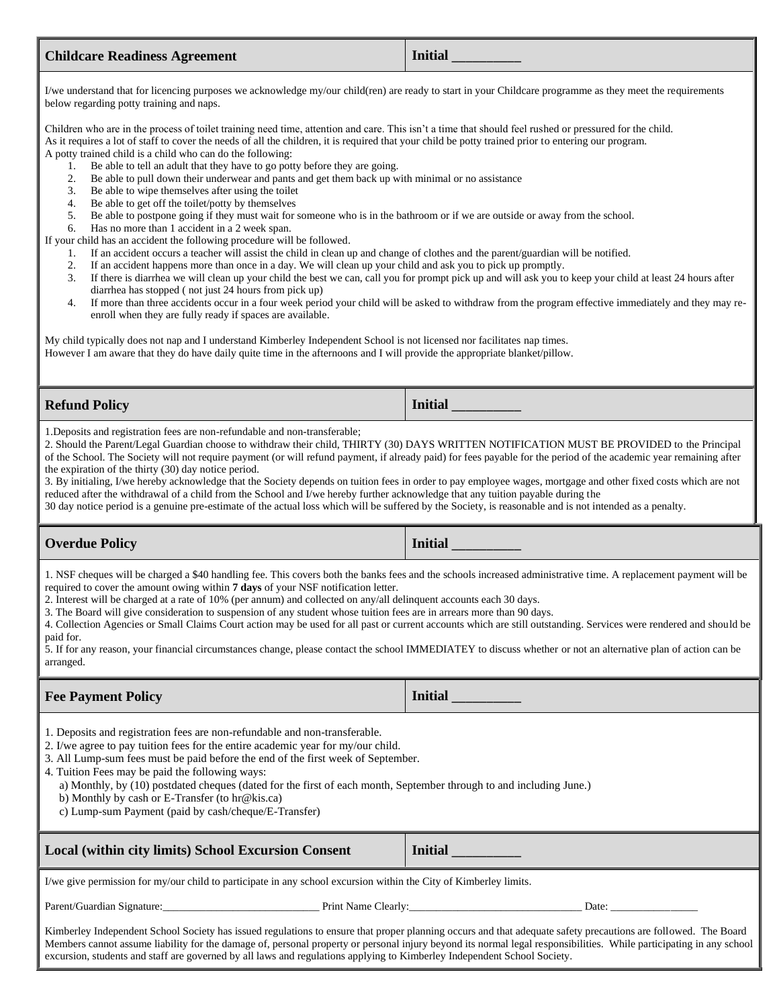## **Childcare Readiness Agreement Initial** \_\_\_\_\_\_\_\_\_\_

I/we understand that for licencing purposes we acknowledge my/our child(ren) are ready to start in your Childcare programme as they meet the requirements below regarding potty training and naps.

Children who are in the process of toilet training need time, attention and care. This isn't a time that should feel rushed or pressured for the child. As it requires a lot of staff to cover the needs of all the children, it is required that your child be potty trained prior to entering our program. A potty trained child is a child who can do the following:

- 1. Be able to tell an adult that they have to go potty before they are going.
- 2. Be able to pull down their underwear and pants and get them back up with minimal or no assistance
- 3. Be able to wipe themselves after using the toilet
- 4. Be able to get off the toilet/potty by themselves<br>5. Be able to postpone going if they must wait for  $\frac{1}{2}$
- 5. Be able to postpone going if they must wait for someone who is in the bathroom or if we are outside or away from the school.
- 6. Has no more than 1 accident in a 2 week span.

If your child has an accident the following procedure will be followed.

- 1. If an accident occurs a teacher will assist the child in clean up and change of clothes and the parent/guardian will be notified.
- 2. If an accident happens more than once in a day. We will clean up your child and ask you to pick up promptly.
- 3. If there is diarrhea we will clean up your child the best we can, call you for prompt pick up and will ask you to keep your child at least 24 hours after diarrhea has stopped ( not just 24 hours from pick up)
- 4. If more than three accidents occur in a four week period your child will be asked to withdraw from the program effective immediately and they may reenroll when they are fully ready if spaces are available.

My child typically does not nap and I understand Kimberley Independent School is not licensed nor facilitates nap times. However I am aware that they do have daily quite time in the afternoons and I will provide the appropriate blanket/pillow.

**Refund Policy Initial Initial Initial** 

1.Deposits and registration fees are non-refundable and non-transferable;

2. Should the Parent/Legal Guardian choose to withdraw their child, THIRTY (30) DAYS WRITTEN NOTIFICATION MUST BE PROVIDED to the Principal of the School. The Society will not require payment (or will refund payment, if already paid) for fees payable for the period of the academic year remaining after the expiration of the thirty (30) day notice period.

3. By initialing, I/we hereby acknowledge that the Society depends on tuition fees in order to pay employee wages, mortgage and other fixed costs which are not reduced after the withdrawal of a child from the School and I/we hereby further acknowledge that any tuition payable during the

30 day notice period is a genuine pre-estimate of the actual loss which will be suffered by the Society, is reasonable and is not intended as a penalty.

## **Overdue Policy Initial**  $\blacksquare$

1. NSF cheques will be charged a \$40 handling fee. This covers both the banks fees and the schools increased administrative time. A replacement payment will be required to cover the amount owing within **7 days** of your NSF notification letter.

2. Interest will be charged at a rate of 10% (per annum) and collected on any/all delinquent accounts each 30 days.

3. The Board will give consideration to suspension of any student whose tuition fees are in arrears more than 90 days.

4. Collection Agencies or Small Claims Court action may be used for all past or current accounts which are still outstanding. Services were rendered and should be paid for.

5. If for any reason, your financial circumstances change, please contact the school IMMEDIATEY to discuss whether or not an alternative plan of action can be arranged.

## **Fee Payment Policy Initial Initial Initial**

1. Deposits and registration fees are non-refundable and non-transferable.

2. I/we agree to pay tuition fees for the entire academic year for my/our child.

- 3. All Lump-sum fees must be paid before the end of the first week of September.
- 4. Tuition Fees may be paid the following ways:

a) Monthly, by (10) postdated cheques (dated for the first of each month, September through to and including June.)

- b) Monthly by cash or E-Transfer (to hr@kis.ca)
- c) Lump-sum Payment (paid by cash/cheque/E-Transfer)

Local (within city limits) School Excursion Consent **Initial** 

I/we give permission for my/our child to participate in any school excursion within the City of Kimberley limits.

Parent/Guardian Signature:\_\_\_\_\_\_\_\_\_\_\_\_\_\_\_\_\_\_\_\_\_\_\_\_\_\_\_\_\_ Print Name Clearly:\_\_\_\_\_\_\_\_\_\_\_\_\_\_\_\_\_\_\_\_\_\_\_\_\_\_\_\_\_\_\_\_ Date: \_\_\_\_\_\_\_\_\_\_\_\_\_\_\_\_

Kimberley Independent School Society has issued regulations to ensure that proper planning occurs and that adequate safety precautions are followed. The Board Members cannot assume liability for the damage of, personal property or personal injury beyond its normal legal responsibilities. While participating in any school excursion, students and staff are governed by all laws and regulations applying to Kimberley Independent School Society.